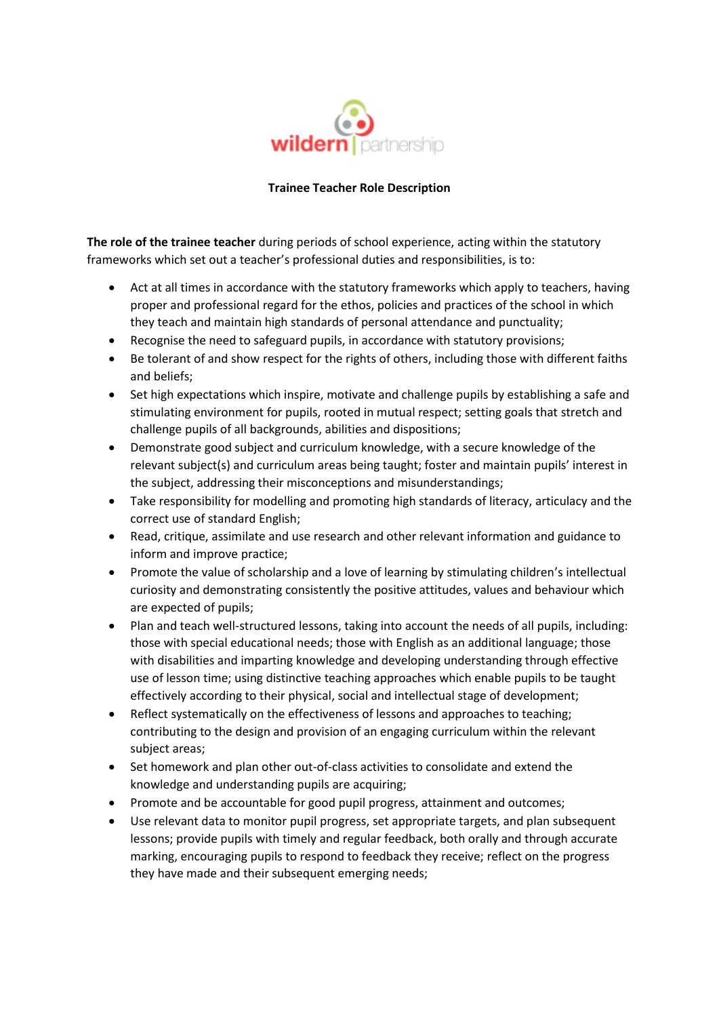

## **Trainee Teacher Role Description**

**The role of the trainee teacher** during periods of school experience, acting within the statutory frameworks which set out a teacher's professional duties and responsibilities, is to:

- Act at all times in accordance with the statutory frameworks which apply to teachers, having proper and professional regard for the ethos, policies and practices of the school in which they teach and maintain high standards of personal attendance and punctuality;
- Recognise the need to safeguard pupils, in accordance with statutory provisions;
- Be tolerant of and show respect for the rights of others, including those with different faiths and beliefs;
- Set high expectations which inspire, motivate and challenge pupils by establishing a safe and stimulating environment for pupils, rooted in mutual respect; setting goals that stretch and challenge pupils of all backgrounds, abilities and dispositions;
- Demonstrate good subject and curriculum knowledge, with a secure knowledge of the relevant subject(s) and curriculum areas being taught; foster and maintain pupils' interest in the subject, addressing their misconceptions and misunderstandings;
- Take responsibility for modelling and promoting high standards of literacy, articulacy and the correct use of standard English;
- Read, critique, assimilate and use research and other relevant information and guidance to inform and improve practice;
- Promote the value of scholarship and a love of learning by stimulating children's intellectual curiosity and demonstrating consistently the positive attitudes, values and behaviour which are expected of pupils;
- Plan and teach well-structured lessons, taking into account the needs of all pupils, including: those with special educational needs; those with English as an additional language; those with disabilities and imparting knowledge and developing understanding through effective use of lesson time; using distinctive teaching approaches which enable pupils to be taught effectively according to their physical, social and intellectual stage of development;
- Reflect systematically on the effectiveness of lessons and approaches to teaching; contributing to the design and provision of an engaging curriculum within the relevant subject areas;
- Set homework and plan other out-of-class activities to consolidate and extend the knowledge and understanding pupils are acquiring;
- Promote and be accountable for good pupil progress, attainment and outcomes;
- Use relevant data to monitor pupil progress, set appropriate targets, and plan subsequent lessons; provide pupils with timely and regular feedback, both orally and through accurate marking, encouraging pupils to respond to feedback they receive; reflect on the progress they have made and their subsequent emerging needs;